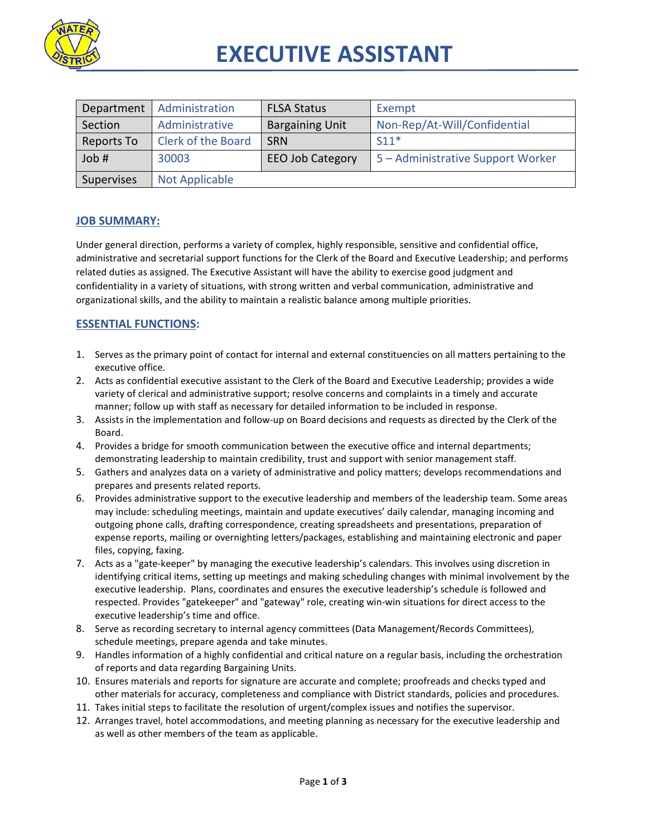

# **EXECUTIVE ASSISTANT**

| Department | Administration            | <b>FLSA Status</b>      | Exempt                            |
|------------|---------------------------|-------------------------|-----------------------------------|
| Section    | Administrative            | <b>Bargaining Unit</b>  | Non-Rep/At-Will/Confidential      |
| Reports To | <b>Clerk of the Board</b> | <b>SRN</b>              | $S11*$                            |
| Job #      | 30003                     | <b>EEO Job Category</b> | 5 - Administrative Support Worker |
| Supervises | <b>Not Applicable</b>     |                         |                                   |

# **JOB SUMMARY:**

Under general direction, performs a variety of complex, highly responsible, sensitive and confidential office, administrative and secretarial support functions for the Clerk of the Board and Executive Leadership; and performs related duties as assigned. The Executive Assistant will have the ability to exercise good judgment and confidentiality in a variety of situations, with strong written and verbal communication, administrative and organizational skills, and the ability to maintain a realistic balance among multiple priorities.

# **ESSENTIAL FUNCTIONS:**

- 1. Serves as the primary point of contact for internal and external constituencies on all matters pertaining to the executive office.
- 2. Acts as confidential executive assistant to the Clerk of the Board and Executive Leadership; provides a wide variety of clerical and administrative support; resolve concerns and complaints in a timely and accurate manner; follow up with staff as necessary for detailed information to be included in response.
- 3. Assists in the implementation and follow-up on Board decisions and requests as directed by the Clerk of the Board.
- 4. Provides a bridge for smooth communication between the executive office and internal departments; demonstrating leadership to maintain credibility, trust and support with senior management staff.
- 5. Gathers and analyzes data on a variety of administrative and policy matters; develops recommendations and prepares and presents related reports.
- 6. Provides administrative support to the executive leadership and members of the leadership team. Some areas may include: scheduling meetings, maintain and update executives' daily calendar, managing incoming and outgoing phone calls, drafting correspondence, creating spreadsheets and presentations, preparation of expense reports, mailing or overnighting letters/packages, establishing and maintaining electronic and paper files, copying, faxing.
- 7. Acts as a "gate-keeper" by managing the executive leadership's calendars. This involves using discretion in identifying critical items, setting up meetings and making scheduling changes with minimal involvement by the executive leadership. Plans, coordinates and ensures the executive leadership's schedule is followed and respected. Provides "gatekeeper" and "gateway" role, creating win-win situations for direct access to the executive leadership's time and office.
- 8. Serve as recording secretary to internal agency committees (Data Management/Records Committees), schedule meetings, prepare agenda and take minutes.
- 9. Handles information of a highly confidential and critical nature on a regular basis, including the orchestration of reports and data regarding Bargaining Units.
- 10. Ensures materials and reports for signature are accurate and complete; proofreads and checks typed and other materials for accuracy, completeness and compliance with District standards, policies and procedures.
- 11. Takes initial steps to facilitate the resolution of urgent/complex issues and notifies the supervisor.
- 12. Arranges travel, hotel accommodations, and meeting planning as necessary for the executive leadership and as well as other members of the team as applicable.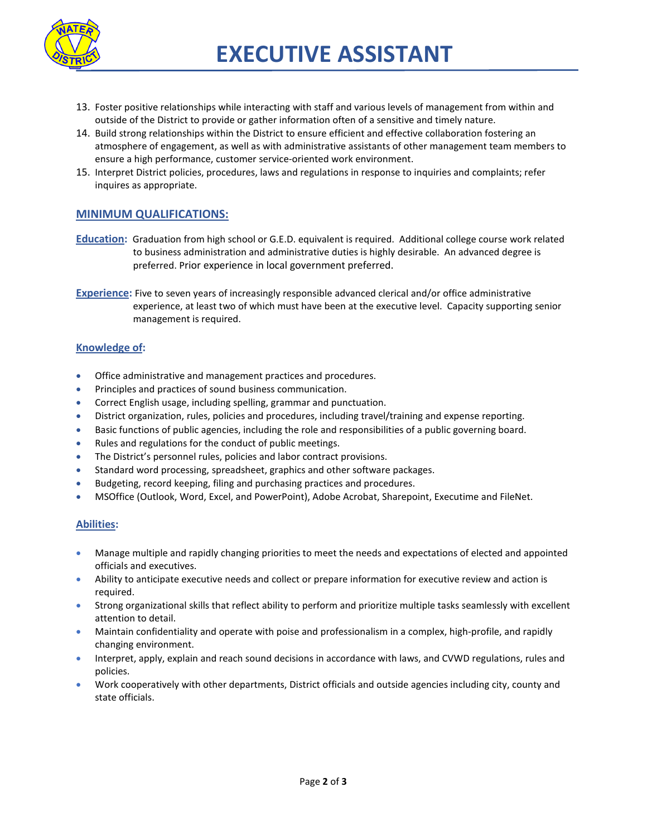

- 13. Foster positive relationships while interacting with staff and various levels of management from within and outside of the District to provide or gather information often of a sensitive and timely nature.
- 14. Build strong relationships within the District to ensure efficient and effective collaboration fostering an atmosphere of engagement, as well as with administrative assistants of other management team members to ensure a high performance, customer service-oriented work environment.
- 15. Interpret District policies, procedures, laws and regulations in response to inquiries and complaints; refer inquires as appropriate.

# **MINIMUM QUALIFICATIONS:**

- **Education:** Graduation from high school or G.E.D. equivalent is required. Additional college course work related to business administration and administrative duties is highly desirable. An advanced degree is preferred. Prior experience in local government preferred.
- **Experience:** Five to seven years of increasingly responsible advanced clerical and/or office administrative experience, at least two of which must have been at the executive level. Capacity supporting senior management is required.

#### **Knowledge of:**

- Office administrative and management practices and procedures.
- Principles and practices of sound business communication.
- Correct English usage, including spelling, grammar and punctuation.
- District organization, rules, policies and procedures, including travel/training and expense reporting.
- Basic functions of public agencies, including the role and responsibilities of a public governing board.
- Rules and regulations for the conduct of public meetings.
- The District's personnel rules, policies and labor contract provisions.
- Standard word processing, spreadsheet, graphics and other software packages.
- Budgeting, record keeping, filing and purchasing practices and procedures.
- MSOffice (Outlook, Word, Excel, and PowerPoint), Adobe Acrobat, Sharepoint, Executime and FileNet.

#### **Abilities:**

- Manage multiple and rapidly changing priorities to meet the needs and expectations of elected and appointed officials and executives.
- Ability to anticipate executive needs and collect or prepare information for executive review and action is required.
- Strong organizational skills that reflect ability to perform and prioritize multiple tasks seamlessly with excellent attention to detail.
- Maintain confidentiality and operate with poise and professionalism in a complex, high-profile, and rapidly changing environment.
- Interpret, apply, explain and reach sound decisions in accordance with laws, and CVWD regulations, rules and policies.
- Work cooperatively with other departments, District officials and outside agencies including city, county and state officials.